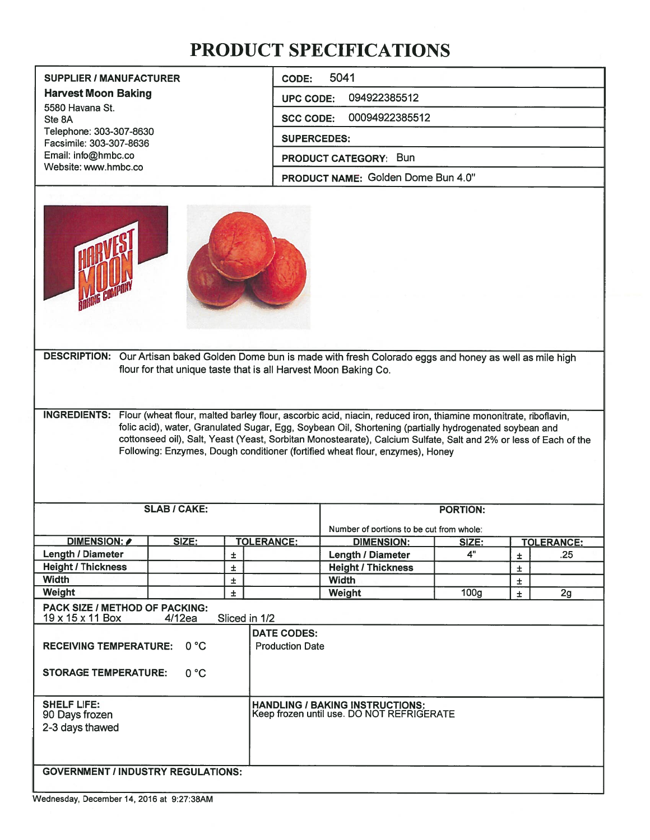# PRODUCT SPECIFICATIONS

| <b>SUPPLIER / MANUFACTURER</b>                     | 5041<br>CODE:                      |
|----------------------------------------------------|------------------------------------|
| <b>Harvest Moon Baking</b>                         | 094922385512<br><b>UPC CODE:</b>   |
| 5580 Havana St.<br>Ste 8A                          | 00094922385512<br><b>SCC CODE:</b> |
| Telephone: 303-307-8630<br>Facsimile: 303-307-8636 | <b>SUPERCEDES:</b>                 |
| Email: info@hmbc.co                                | <b>PRODUCT CATEGORY: Bun</b>       |
| Website: www.hmbc.co                               | PRODUCT NAME: Golden Dome Bun 4.0" |



DESCRIPTION: Our Artisan baked Golden Dome bun is made with fresh Colorado eggs and honey as well as mile high flout for that unique taste that is all Harvest Moon Baking Co.

INGREDIENTS: Flour (wheat flour, malted barley flour, ascorbic acid, niacin, reduced iron, thiamine mononitrate, riboflavin, folic acid), water, Granulated Sugar, Egg, Soybean Oil, Shortening (partially hydrogenated soybean and cottonseed oil), Salt, Yeast (Yeast, Sorbitan Monostearate), Calcium Sulfate, Salt and 2% or less of Each of the Following: Enzymes, Dough conditioner (fortified wheat flour, enzymes), Honey

| <b>SLAB / CAKE:</b>                                                              |                        |   | <b>PORTION:</b>                                               |                                                                                     |                  |    |                   |
|----------------------------------------------------------------------------------|------------------------|---|---------------------------------------------------------------|-------------------------------------------------------------------------------------|------------------|----|-------------------|
|                                                                                  |                        |   |                                                               | Number of portions to be cut from whole:                                            |                  |    |                   |
| DIMENSION: A                                                                     | SIZE:                  |   | <b>TOLERANCE:</b>                                             | <b>DIMENSION:</b>                                                                   | <u>SIZE:</u>     |    | <b>TOLERANCE:</b> |
| Length / Diameter                                                                |                        | Ŧ |                                                               | <b>Length / Diameter</b>                                                            | 4"               | Ŧ  | .25               |
| <b>Height / Thickness</b>                                                        |                        | Ŧ |                                                               | <b>Height / Thickness</b>                                                           |                  | Ŧ. |                   |
| <b>Width</b>                                                                     |                        | Ŧ |                                                               | <b>Width</b>                                                                        |                  | Ŧ  |                   |
| Weight                                                                           |                        | Ŧ |                                                               | Weight                                                                              | 100 <sub>g</sub> | Ŧ. | 2g                |
| 19 x 15 x 11 Box<br><b>RECEIVING TEMPERATURE:</b><br><b>STORAGE TEMPERATURE:</b> | 4/12ea<br>0 °C<br>0 °C |   | Sliced in 1/2<br><b>DATE CODES:</b><br><b>Production Date</b> |                                                                                     |                  |    |                   |
| <b>SHELF LIFE:</b><br>90 Days frozen<br>2-3 days thawed                          |                        |   |                                                               | <b>HANDLING / BAKING INSTRUCTIONS:</b><br>Keep frozen until use. DO NOT REFRIGERATE |                  |    |                   |
| <b>GOVERNMENT / INDUSTRY REGULATIONS:</b>                                        |                        |   |                                                               |                                                                                     |                  |    |                   |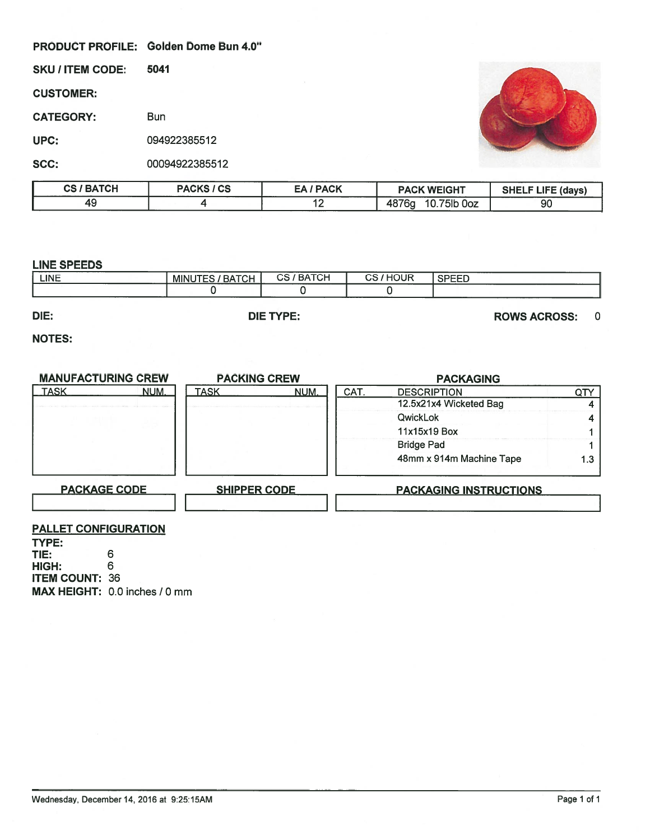#### PRODUCT PROFILE: Golden Dome Bun 4.0"



| <b>/ BATCH</b><br>CS. | <b>PACKS / CS</b> | <b>PACK</b> | <b>PACK WEIGHT</b>                       | <b>SHELF LIFE (days)</b> |
|-----------------------|-------------------|-------------|------------------------------------------|--------------------------|
| ⇁                     |                   | . .         | 4876 <sub>a</sub><br>771.0<br>0oz<br>סוכ | 90                       |

#### LINE SPEEDS

| DIE:            |                     | <b>DIE TYPE:</b> |         | <b>ROWS ACROSS:</b> |  |
|-----------------|---------------------|------------------|---------|---------------------|--|
|                 |                     |                  |         |                     |  |
| -------<br>LINE | MINUTES,<br>/ BATCH | <b>CS/BATCH</b>  | CS/HOUR | <b>SPEED</b>        |  |

### NOTES:

| PRODUCT PROFILE: Golden Dome Bun 4.0" |            |                             |                                |      |                        |                                              |                          |                   |
|---------------------------------------|------------|-----------------------------|--------------------------------|------|------------------------|----------------------------------------------|--------------------------|-------------------|
| <b>SKU / ITEM CODE:</b>               | 5041       |                             |                                |      |                        |                                              |                          |                   |
| <b>CUSTOMER:</b>                      |            |                             |                                |      |                        |                                              |                          |                   |
| <b>CATEGORY:</b>                      | <b>Bun</b> |                             |                                |      |                        |                                              |                          |                   |
| UPC:                                  |            | 094922385512                |                                |      |                        |                                              |                          |                   |
| SCC:                                  |            | 00094922385512              |                                |      |                        |                                              |                          |                   |
| <b>CS / BATCH</b>                     |            | <b>PACKS / CS</b>           | <b>EA/PACK</b>                 |      |                        | <b>PACK WEIGHT</b>                           | <b>SHELF LIFE (days)</b> |                   |
| 49                                    |            | $\overline{4}$              | $\overline{12}$                |      |                        | 4876g 10.75lb 0oz                            | 90                       |                   |
| <b>LINE</b>                           |            | <b>MINUTES / BATCH</b><br>0 | <b>CS/BATCH</b><br>$\mathbf 0$ |      | CS/HOUR<br>$\mathbf 0$ | <b>SPEED</b>                                 |                          |                   |
| <b>LINE SPEEDS</b>                    |            |                             |                                |      |                        |                                              |                          |                   |
|                                       |            |                             |                                |      |                        |                                              |                          |                   |
| DIE:                                  |            |                             | <b>DIE TYPE:</b>               |      |                        |                                              | <b>ROWS ACROSS:</b>      | $\mathbf 0$       |
| <b>NOTES:</b>                         |            |                             |                                |      |                        |                                              |                          |                   |
|                                       |            |                             |                                |      |                        |                                              |                          |                   |
| <b>MANUFACTURING CREW</b>             |            | <b>PACKING CREW</b>         |                                |      |                        | <b>PACKAGING</b>                             |                          |                   |
| <b>TASK</b>                           | NUM.       | <b>TASK</b>                 | <b>NUM</b>                     | CAT. |                        | <b>DESCRIPTION</b><br>12.5x21x4 Wicketed Bag |                          | QTY               |
|                                       |            |                             |                                |      | QwickLok               |                                              |                          | 4                 |
|                                       |            |                             |                                |      |                        | 11x15x19 Box                                 |                          | 4<br>$\mathbf{1}$ |
|                                       |            |                             |                                |      | <b>Bridge Pad</b>      |                                              |                          | 1                 |
|                                       |            |                             |                                |      |                        | 48mm x 914m Machine Tape                     |                          | 1.3               |
| <b>PACKAGE CODE</b>                   |            | <b>SHIPPER CODE</b>         |                                |      |                        | <b>PACKAGING INSTRUCTIONS</b>                |                          |                   |
|                                       |            |                             |                                |      |                        |                                              |                          |                   |

## PALLET CONFIGURATION

TYPE: TIE: HIGH: ITEM COUNT: 36 **MAX HEIGHT: 0.0 inches / 0 mm** 6 6